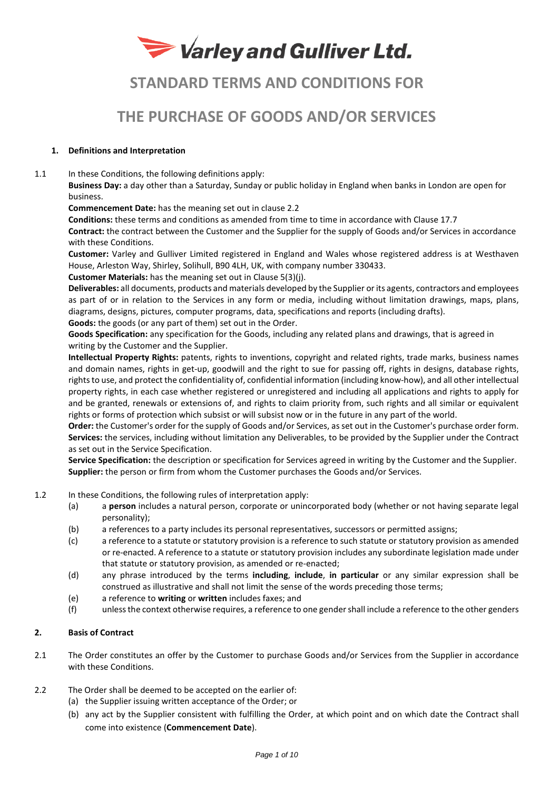# Varley and Gulliver Ltd.

# **STANDARD TERMS AND CONDITIONS FOR**

# **THE PURCHASE OF GOODS AND/OR SERVICES**

# **1. Definitions and Interpretation**

1.1 In these Conditions, the following definitions apply:

**Business Day:** a day other than a Saturday, Sunday or public holiday in England when banks in London are open for business.

**Commencement Date:** has the meaning set out in clause 2.2

**Conditions:** these terms and conditions as amended from time to time in accordance with Clause 17.7

**Contract:** the contract between the Customer and the Supplier for the supply of Goods and/or Services in accordance with these Conditions.

**Customer:** Varley and Gulliver Limited registered in England and Wales whose registered address is at Westhaven House, Arleston Way, Shirley, Solihull, B90 4LH, UK, with company number 330433.

**Customer Materials:** has the meaning set out in Clause 5(3)(j).

**Deliverables:** all documents, products and materials developed by the Supplier or its agents, contractors and employees as part of or in relation to the Services in any form or media, including without limitation drawings, maps, plans, diagrams, designs, pictures, computer programs, data, specifications and reports (including drafts).

**Goods:** the goods (or any part of them) set out in the Order.

**Goods Specification:** any specification for the Goods, including any related plans and drawings, that is agreed in writing by the Customer and the Supplier.

**Intellectual Property Rights:** patents, rights to inventions, copyright and related rights, trade marks, business names and domain names, rights in get-up, goodwill and the right to sue for passing off, rights in designs, database rights, rights to use, and protect the confidentiality of, confidential information (including know-how), and all other intellectual property rights, in each case whether registered or unregistered and including all applications and rights to apply for and be granted, renewals or extensions of, and rights to claim priority from, such rights and all similar or equivalent rights or forms of protection which subsist or will subsist now or in the future in any part of the world.

**Order:** the Customer's order for the supply of Goods and/or Services, as set out in the Customer's purchase order form. **Services:** the services, including without limitation any Deliverables, to be provided by the Supplier under the Contract as set out in the Service Specification.

**Service Specification:** the description or specification for Services agreed in writing by the Customer and the Supplier. **Supplier:** the person or firm from whom the Customer purchases the Goods and/or Services.

- 1.2 In these Conditions, the following rules of interpretation apply:
	- (a) a **person** includes a natural person, corporate or unincorporated body (whether or not having separate legal personality);
	- (b) a references to a party includes its personal representatives, successors or permitted assigns;
	- (c) a reference to a statute or statutory provision is a reference to such statute or statutory provision as amended or re-enacted. A reference to a statute or statutory provision includes any subordinate legislation made under that statute or statutory provision, as amended or re-enacted;
	- (d) any phrase introduced by the terms **including**, **include**, **in particular** or any similar expression shall be construed as illustrative and shall not limit the sense of the words preceding those terms;
	- (e) a reference to **writing** or **written** includes faxes; and
	- (f) unless the context otherwise requires, a reference to one gender shall include a reference to the other genders

# **2. Basis of Contract**

- 2.1 The Order constitutes an offer by the Customer to purchase Goods and/or Services from the Supplier in accordance with these Conditions.
- 2.2 The Order shall be deemed to be accepted on the earlier of:
	- (a) the Supplier issuing written acceptance of the Order; or
	- (b) any act by the Supplier consistent with fulfilling the Order, at which point and on which date the Contract shall come into existence (**Commencement Date**).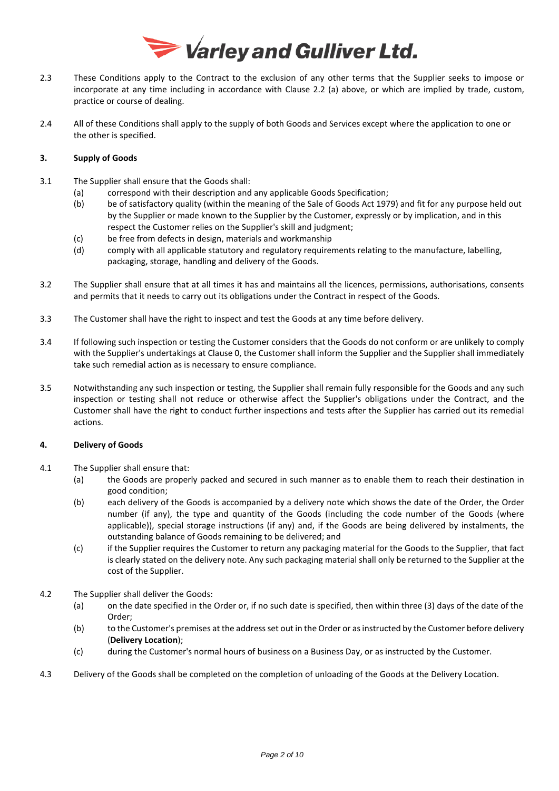

- 2.3 These Conditions apply to the Contract to the exclusion of any other terms that the Supplier seeks to impose or incorporate at any time including in accordance with Clause 2.2 (a) above, or which are implied by trade, custom, practice or course of dealing.
- 2.4 All of these Conditions shall apply to the supply of both Goods and Services except where the application to one or the other is specified.

# **3. Supply of Goods**

- <span id="page-1-0"></span>3.1 The Supplier shall ensure that the Goods shall:
	- (a) correspond with their description and any applicable Goods Specification;
		- (b) be of satisfactory quality (within the meaning of the Sale of Goods Act 1979) and fit for any purpose held out by the Supplier or made known to the Supplier by the Customer, expressly or by implication, and in this respect the Customer relies on the Supplier's skill and judgment;
		- (c) be free from defects in design, materials and workmanship
		- (d) comply with all applicable statutory and regulatory requirements relating to the manufacture, labelling, packaging, storage, handling and delivery of the Goods.
- 3.2 The Supplier shall ensure that at all times it has and maintains all the licences, permissions, authorisations, consents and permits that it needs to carry out its obligations under the Contract in respect of the Goods.
- 3.3 The Customer shall have the right to inspect and test the Goods at any time before delivery.
- 3.4 If following such inspection or testing the Customer considers that the Goods do not conform or are unlikely to comply with the Supplier's undertakings at Clause [0,](#page-1-0) the Customer shall inform the Supplier and the Supplier shall immediately take such remedial action as is necessary to ensure compliance.
- 3.5 Notwithstanding any such inspection or testing, the Supplier shall remain fully responsible for the Goods and any such inspection or testing shall not reduce or otherwise affect the Supplier's obligations under the Contract, and the Customer shall have the right to conduct further inspections and tests after the Supplier has carried out its remedial actions.

# **4. Delivery of Goods**

- 4.1 The Supplier shall ensure that:
	- (a) the Goods are properly packed and secured in such manner as to enable them to reach their destination in good condition;
	- (b) each delivery of the Goods is accompanied by a delivery note which shows the date of the Order, the Order number (if any), the type and quantity of the Goods (including the code number of the Goods (where applicable)), special storage instructions (if any) and, if the Goods are being delivered by instalments, the outstanding balance of Goods remaining to be delivered; and
	- (c) if the Supplier requires the Customer to return any packaging material for the Goods to the Supplier, that fact is clearly stated on the delivery note. Any such packaging material shall only be returned to the Supplier at the cost of the Supplier.
- 4.2 The Supplier shall deliver the Goods:
	- (a) on the date specified in the Order or, if no such date is specified, then within three (3) days of the date of the Order;
	- (b) to the Customer's premises at the address set out in the Order or as instructed by the Customer before delivery (**Delivery Location**);
	- (c) during the Customer's normal hours of business on a Business Day, or as instructed by the Customer.
- 4.3 Delivery of the Goods shall be completed on the completion of unloading of the Goods at the Delivery Location.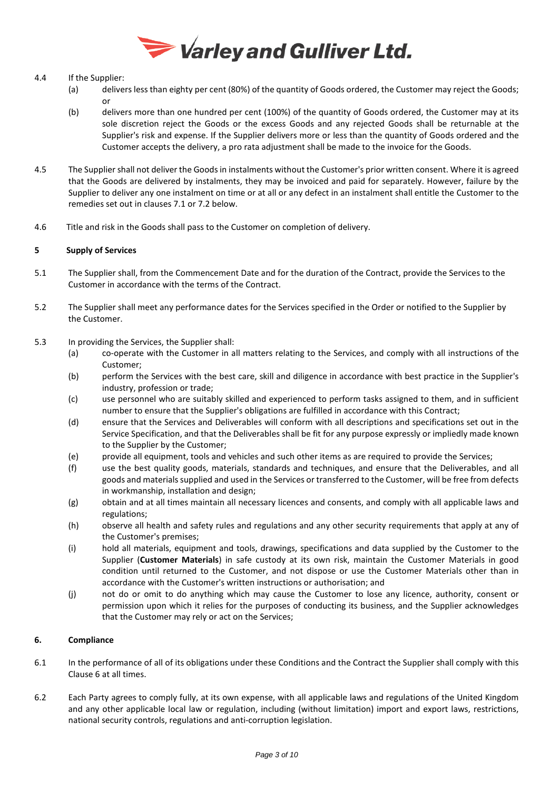

# 4.4 If the Supplier:

- (a) delivers less than eighty per cent (80%) of the quantity of Goods ordered, the Customer may reject the Goods; or
- (b) delivers more than one hundred per cent (100%) of the quantity of Goods ordered, the Customer may at its sole discretion reject the Goods or the excess Goods and any rejected Goods shall be returnable at the Supplier's risk and expense. If the Supplier delivers more or less than the quantity of Goods ordered and the Customer accepts the delivery, a pro rata adjustment shall be made to the invoice for the Goods.
- 4.5 The Supplier shall not deliver the Goods in instalments without the Customer's prior written consent. Where it is agreed that the Goods are delivered by instalments, they may be invoiced and paid for separately. However, failure by the Supplier to deliver any one instalment on time or at all or any defect in an instalment shall entitle the Customer to the remedies set out in clauses 7.1 or 7.2 below.
- 4.6 Title and risk in the Goods shall pass to the Customer on completion of delivery.

# **5 Supply of Services**

- 5.1 The Supplier shall, from the Commencement Date and for the duration of the Contract, provide the Services to the Customer in accordance with the terms of the Contract.
- 5.2 The Supplier shall meet any performance dates for the Services specified in the Order or notified to the Supplier by the Customer.
- 5.3 In providing the Services, the Supplier shall:
	- (a) co-operate with the Customer in all matters relating to the Services, and comply with all instructions of the Customer;
	- (b) perform the Services with the best care, skill and diligence in accordance with best practice in the Supplier's industry, profession or trade;
	- (c) use personnel who are suitably skilled and experienced to perform tasks assigned to them, and in sufficient number to ensure that the Supplier's obligations are fulfilled in accordance with this Contract;
	- (d) ensure that the Services and Deliverables will conform with all descriptions and specifications set out in the Service Specification, and that the Deliverables shall be fit for any purpose expressly or impliedly made known to the Supplier by the Customer;
	- (e) provide all equipment, tools and vehicles and such other items as are required to provide the Services;
	- (f) use the best quality goods, materials, standards and techniques, and ensure that the Deliverables, and all goods and materials supplied and used in the Services or transferred to the Customer, will be free from defects in workmanship, installation and design;
	- (g) obtain and at all times maintain all necessary licences and consents, and comply with all applicable laws and regulations;
	- (h) observe all health and safety rules and regulations and any other security requirements that apply at any of the Customer's premises;
	- (i) hold all materials, equipment and tools, drawings, specifications and data supplied by the Customer to the Supplier (**Customer Materials**) in safe custody at its own risk, maintain the Customer Materials in good condition until returned to the Customer, and not dispose or use the Customer Materials other than in accordance with the Customer's written instructions or authorisation; and
	- (j) not do or omit to do anything which may cause the Customer to lose any licence, authority, consent or permission upon which it relies for the purposes of conducting its business, and the Supplier acknowledges that the Customer may rely or act on the Services;

# **6. Compliance**

- 6.1 In the performance of all of its obligations under these Conditions and the Contract the Supplier shall comply with this Clause 6 at all times.
- 6.2 Each Party agrees to comply fully, at its own expense, with all applicable laws and regulations of the United Kingdom and any other applicable local law or regulation, including (without limitation) import and export laws, restrictions, national security controls, regulations and anti-corruption legislation.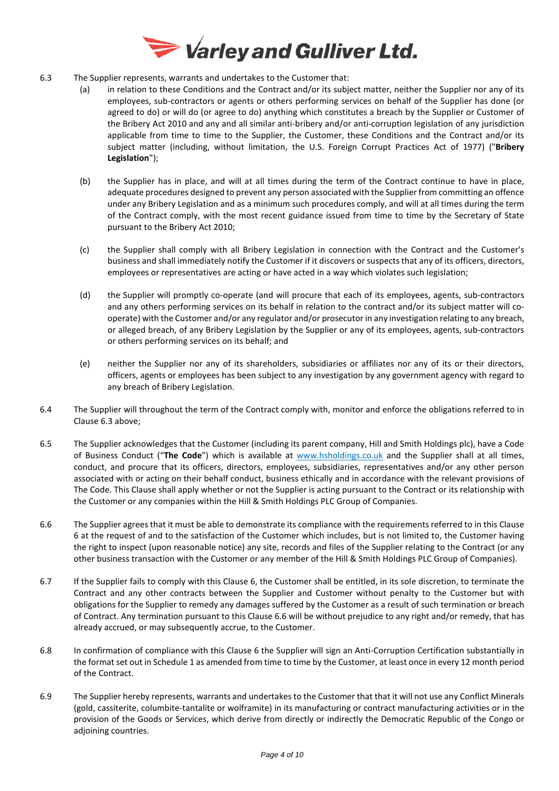

- 6.3 The Supplier represents, warrants and undertakes to the Customer that:
	- (a) in relation to these Conditions and the Contract and/or its subject matter, neither the Supplier nor any of its employees, sub-contractors or agents or others performing services on behalf of the Supplier has done (or agreed to do) or will do (or agree to do) anything which constitutes a breach by the Supplier or Customer of the Bribery Act 2010 and any and all similar anti-bribery and/or anti-corruption legislation of any jurisdiction applicable from time to time to the Supplier, the Customer, these Conditions and the Contract and/or its subject matter (including, without limitation, the U.S. Foreign Corrupt Practices Act of 1977) ("**Bribery Legislation**");
	- (b) the Supplier has in place, and will at all times during the term of the Contract continue to have in place, adequate procedures designed to prevent any person associated with the Supplier from committing an offence under any Bribery Legislation and as a minimum such procedures comply, and will at all times during the term of the Contract comply, with the most recent guidance issued from time to time by the Secretary of State pursuant to the Bribery Act 2010;
	- (c) the Supplier shall comply with all Bribery Legislation in connection with the Contract and the Customer's business and shall immediately notify the Customer if it discovers or suspects that any of its officers, directors, employees or representatives are acting or have acted in a way which violates such legislation;
	- (d) the Supplier will promptly co-operate (and will procure that each of its employees, agents, sub-contractors and any others performing services on its behalf in relation to the contract and/or its subject matter will cooperate) with the Customer and/or any regulator and/or prosecutor in any investigation relating to any breach, or alleged breach, of any Bribery Legislation by the Supplier or any of its employees, agents, sub-contractors or others performing services on its behalf; and
	- (e) neither the Supplier nor any of its shareholders, subsidiaries or affiliates nor any of its or their directors, officers, agents or employees has been subject to any investigation by any government agency with regard to any breach of Bribery Legislation.
- 6.4 The Supplier will throughout the term of the Contract comply with, monitor and enforce the obligations referred to in Clause 6.3 above;
- 6.5 The Supplier acknowledges that the Customer (including its parent company, Hill and Smith Holdings plc), have a Code of Business Conduct ("**The Code**") which is available at [www.hsholdings.co.uk](http://www.hsholdings.co.uk/) and the Supplier shall at all times, conduct, and procure that its officers, directors, employees, subsidiaries, representatives and/or any other person associated with or acting on their behalf conduct, business ethically and in accordance with the relevant provisions of The Code. This Clause shall apply whether or not the Supplier is acting pursuant to the Contract or its relationship with the Customer or any companies within the Hill & Smith Holdings PLC Group of Companies.
- 6.6 The Supplier agrees that it must be able to demonstrate its compliance with the requirements referred to in this Clause 6 at the request of and to the satisfaction of the Customer which includes, but is not limited to, the Customer having the right to inspect (upon reasonable notice) any site, records and files of the Supplier relating to the Contract (or any other business transaction with the Customer or any member of the Hill & Smith Holdings PLC Group of Companies).
- 6.7 If the Supplier fails to comply with this Clause 6, the Customer shall be entitled, in its sole discretion, to terminate the Contract and any other contracts between the Supplier and Customer without penalty to the Customer but with obligations for the Supplier to remedy any damages suffered by the Customer as a result of such termination or breach of Contract. Any termination pursuant to this Clause 6.6 will be without prejudice to any right and/or remedy, that has already accrued, or may subsequently accrue, to the Customer.
- 6.8 In confirmation of compliance with this Clause 6 the Supplier will sign an Anti-Corruption Certification substantially in the format set out in Schedule 1 as amended from time to time by the Customer, at least once in every 12 month period of the Contract.
- 6.9 The Supplier hereby represents, warrants and undertakes to the Customer that that it will not use any Conflict Minerals (gold, cassiterite, columbite-tantalite or wolframite) in its manufacturing or contract manufacturing activities or in the provision of the Goods or Services, which derive from directly or indirectly the Democratic Republic of the Congo or adjoining countries.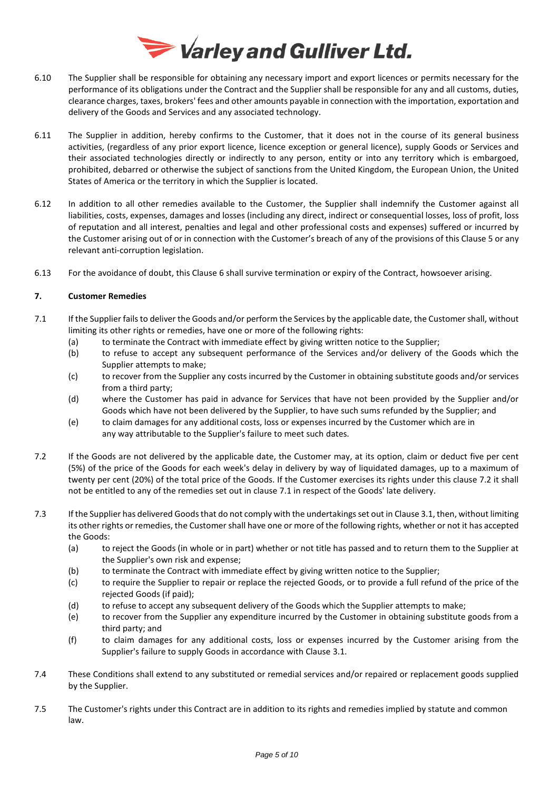

- 6.10 The Supplier shall be responsible for obtaining any necessary import and export licences or permits necessary for the performance of its obligations under the Contract and the Supplier shall be responsible for any and all customs, duties, clearance charges, taxes, brokers' fees and other amounts payable in connection with the importation, exportation and delivery of the Goods and Services and any associated technology.
- 6.11 The Supplier in addition, hereby confirms to the Customer, that it does not in the course of its general business activities, (regardless of any prior export licence, licence exception or general licence), supply Goods or Services and their associated technologies directly or indirectly to any person, entity or into any territory which is embargoed, prohibited, debarred or otherwise the subject of sanctions from the United Kingdom, the European Union, the United States of America or the territory in which the Supplier is located.
- 6.12 In addition to all other remedies available to the Customer, the Supplier shall indemnify the Customer against all liabilities, costs, expenses, damages and losses (including any direct, indirect or consequential losses, loss of profit, loss of reputation and all interest, penalties and legal and other professional costs and expenses) suffered or incurred by the Customer arising out of or in connection with the Customer's breach of any of the provisions of this Clause 5 or any relevant anti-corruption legislation.
- 6.13 For the avoidance of doubt, this Clause 6 shall survive termination or expiry of the Contract, howsoever arising.

# **7. Customer Remedies**

- 7.1 If the Supplier fails to deliver the Goods and/or perform the Services by the applicable date, the Customer shall, without limiting its other rights or remedies, have one or more of the following rights:
	- (a) to terminate the Contract with immediate effect by giving written notice to the Supplier;
	- (b) to refuse to accept any subsequent performance of the Services and/or delivery of the Goods which the Supplier attempts to make;
	- (c) to recover from the Supplier any costs incurred by the Customer in obtaining substitute goods and/or services from a third party;
	- (d) where the Customer has paid in advance for Services that have not been provided by the Supplier and/or Goods which have not been delivered by the Supplier, to have such sums refunded by the Supplier; and
	- (e) to claim damages for any additional costs, loss or expenses incurred by the Customer which are in any way attributable to the Supplier's failure to meet such dates.
- 7.2 If the Goods are not delivered by the applicable date, the Customer may, at its option, claim or deduct five per cent (5%) of the price of the Goods for each week's delay in delivery by way of liquidated damages, up to a maximum of twenty per cent (20%) of the total price of the Goods. If the Customer exercises its rights under this clause 7.2 it shall not be entitled to any of the remedies set out in clause 7.1 in respect of the Goods' late delivery.
- 7.3 If the Supplier has delivered Goods that do not comply with the undertakings set out in Clause 3.1, then, without limiting its other rights or remedies, the Customer shall have one or more of the following rights, whether or not it has accepted the Goods:
	- (a) to reject the Goods (in whole or in part) whether or not title has passed and to return them to the Supplier at the Supplier's own risk and expense;
	- (b) to terminate the Contract with immediate effect by giving written notice to the Supplier;
	- (c) to require the Supplier to repair or replace the rejected Goods, or to provide a full refund of the price of the rejected Goods (if paid);
	- (d) to refuse to accept any subsequent delivery of the Goods which the Supplier attempts to make;
	- (e) to recover from the Supplier any expenditure incurred by the Customer in obtaining substitute goods from a third party; and
	- (f) to claim damages for any additional costs, loss or expenses incurred by the Customer arising from the Supplier's failure to supply Goods in accordance with Clause 3.1.
- 7.4 These Conditions shall extend to any substituted or remedial services and/or repaired or replacement goods supplied by the Supplier.
- 7.5 The Customer's rights under this Contract are in addition to its rights and remedies implied by statute and common law.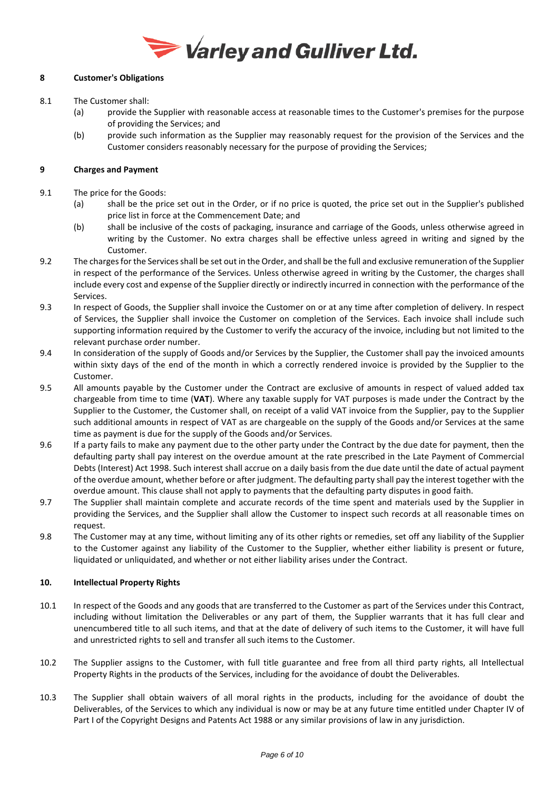

# **8 Customer's Obligations**

- 8.1 The Customer shall:
	- (a) provide the Supplier with reasonable access at reasonable times to the Customer's premises for the purpose of providing the Services; and
	- (b) provide such information as the Supplier may reasonably request for the provision of the Services and the Customer considers reasonably necessary for the purpose of providing the Services;

# **9 Charges and Payment**

- 9.1 The price for the Goods:
	- (a) shall be the price set out in the Order, or if no price is quoted, the price set out in the Supplier's published price list in force at the Commencement Date; and
	- (b) shall be inclusive of the costs of packaging, insurance and carriage of the Goods, unless otherwise agreed in writing by the Customer. No extra charges shall be effective unless agreed in writing and signed by the Customer.
- 9.2 The charges for the Servicesshall be set out in the Order, and shall be the full and exclusive remuneration of the Supplier in respect of the performance of the Services. Unless otherwise agreed in writing by the Customer, the charges shall include every cost and expense of the Supplier directly or indirectly incurred in connection with the performance of the Services.
- 9.3 In respect of Goods, the Supplier shall invoice the Customer on or at any time after completion of delivery. In respect of Services, the Supplier shall invoice the Customer on completion of the Services. Each invoice shall include such supporting information required by the Customer to verify the accuracy of the invoice, including but not limited to the relevant purchase order number.
- 9.4 In consideration of the supply of Goods and/or Services by the Supplier, the Customer shall pay the invoiced amounts within sixty days of the end of the month in which a correctly rendered invoice is provided by the Supplier to the Customer.
- 9.5 All amounts payable by the Customer under the Contract are exclusive of amounts in respect of valued added tax chargeable from time to time (**VAT**). Where any taxable supply for VAT purposes is made under the Contract by the Supplier to the Customer, the Customer shall, on receipt of a valid VAT invoice from the Supplier, pay to the Supplier such additional amounts in respect of VAT as are chargeable on the supply of the Goods and/or Services at the same time as payment is due for the supply of the Goods and/or Services.
- 9.6 If a party fails to make any payment due to the other party under the Contract by the due date for payment, then the defaulting party shall pay interest on the overdue amount at the rate prescribed in the Late Payment of Commercial Debts (Interest) Act 1998. Such interest shall accrue on a daily basis from the due date until the date of actual payment of the overdue amount, whether before or after judgment. The defaulting party shall pay the interest together with the overdue amount. This clause shall not apply to payments that the defaulting party disputes in good faith.
- 9.7 The Supplier shall maintain complete and accurate records of the time spent and materials used by the Supplier in providing the Services, and the Supplier shall allow the Customer to inspect such records at all reasonable times on request.
- 9.8 The Customer may at any time, without limiting any of its other rights or remedies, set off any liability of the Supplier to the Customer against any liability of the Customer to the Supplier, whether either liability is present or future, liquidated or unliquidated, and whether or not either liability arises under the Contract.

# **10. Intellectual Property Rights**

- 10.1 In respect of the Goods and any goods that are transferred to the Customer as part of the Services under this Contract, including without limitation the Deliverables or any part of them, the Supplier warrants that it has full clear and unencumbered title to all such items, and that at the date of delivery of such items to the Customer, it will have full and unrestricted rights to sell and transfer all such items to the Customer.
- 10.2 The Supplier assigns to the Customer, with full title guarantee and free from all third party rights, all Intellectual Property Rights in the products of the Services, including for the avoidance of doubt the Deliverables.
- 10.3 The Supplier shall obtain waivers of all moral rights in the products, including for the avoidance of doubt the Deliverables, of the Services to which any individual is now or may be at any future time entitled under Chapter IV of Part I of the Copyright Designs and Patents Act 1988 or any similar provisions of law in any jurisdiction.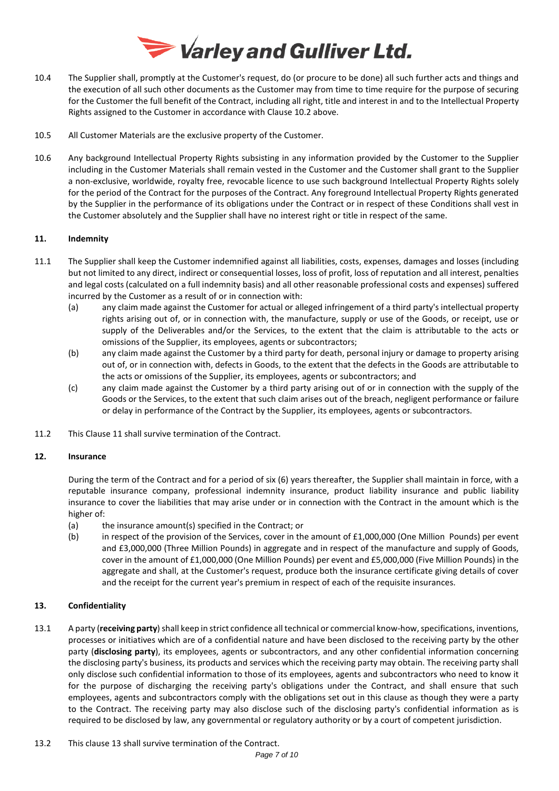

- 10.4 The Supplier shall, promptly at the Customer's request, do (or procure to be done) all such further acts and things and the execution of all such other documents as the Customer may from time to time require for the purpose of securing for the Customer the full benefit of the Contract, including all right, title and interest in and to the Intellectual Property Rights assigned to the Customer in accordance with Clause 10.2 above.
- 10.5 All Customer Materials are the exclusive property of the Customer.
- 10.6 Any background Intellectual Property Rights subsisting in any information provided by the Customer to the Supplier including in the Customer Materials shall remain vested in the Customer and the Customer shall grant to the Supplier a non-exclusive, worldwide, royalty free, revocable licence to use such background Intellectual Property Rights solely for the period of the Contract for the purposes of the Contract. Any foreground Intellectual Property Rights generated by the Supplier in the performance of its obligations under the Contract or in respect of these Conditions shall vest in the Customer absolutely and the Supplier shall have no interest right or title in respect of the same.

# **11. Indemnity**

- 11.1 The Supplier shall keep the Customer indemnified against all liabilities, costs, expenses, damages and losses (including but not limited to any direct, indirect or consequential losses, loss of profit, loss of reputation and all interest, penalties and legal costs (calculated on a full indemnity basis) and all other reasonable professional costs and expenses) suffered incurred by the Customer as a result of or in connection with:
	- (a) any claim made against the Customer for actual or alleged infringement of a third party's intellectual property rights arising out of, or in connection with, the manufacture, supply or use of the Goods, or receipt, use or supply of the Deliverables and/or the Services, to the extent that the claim is attributable to the acts or omissions of the Supplier, its employees, agents or subcontractors;
	- (b) any claim made against the Customer by a third party for death, personal injury or damage to property arising out of, or in connection with, defects in Goods, to the extent that the defects in the Goods are attributable to the acts or omissions of the Supplier, its employees, agents or subcontractors; and
	- (c) any claim made against the Customer by a third party arising out of or in connection with the supply of the Goods or the Services, to the extent that such claim arises out of the breach, negligent performance or failure or delay in performance of the Contract by the Supplier, its employees, agents or subcontractors.
- 11.2 This Clause 11 shall survive termination of the Contract.

# **12. Insurance**

During the term of the Contract and for a period of six (6) years thereafter, the Supplier shall maintain in force, with a reputable insurance company, professional indemnity insurance, product liability insurance and public liability insurance to cover the liabilities that may arise under or in connection with the Contract in the amount which is the higher of:

- (a) the insurance amount(s) specified in the Contract; or
- (b) in respect of the provision of the Services, cover in the amount of £1,000,000 (One Million Pounds) per event and £3,000,000 (Three Million Pounds) in aggregate and in respect of the manufacture and supply of Goods, cover in the amount of £1,000,000 (One Million Pounds) per event and £5,000,000 (Five Million Pounds) in the aggregate and shall, at the Customer's request, produce both the insurance certificate giving details of cover and the receipt for the current year's premium in respect of each of the requisite insurances.

# **13. Confidentiality**

- 13.1 A party (**receiving party**) shall keep in strict confidence all technical or commercial know-how, specifications, inventions, processes or initiatives which are of a confidential nature and have been disclosed to the receiving party by the other party (**disclosing party**), its employees, agents or subcontractors, and any other confidential information concerning the disclosing party's business, its products and services which the receiving party may obtain. The receiving party shall only disclose such confidential information to those of its employees, agents and subcontractors who need to know it for the purpose of discharging the receiving party's obligations under the Contract, and shall ensure that such employees, agents and subcontractors comply with the obligations set out in this clause as though they were a party to the Contract. The receiving party may also disclose such of the disclosing party's confidential information as is required to be disclosed by law, any governmental or regulatory authority or by a court of competent jurisdiction.
- 13.2 This clause 13 shall survive termination of the Contract.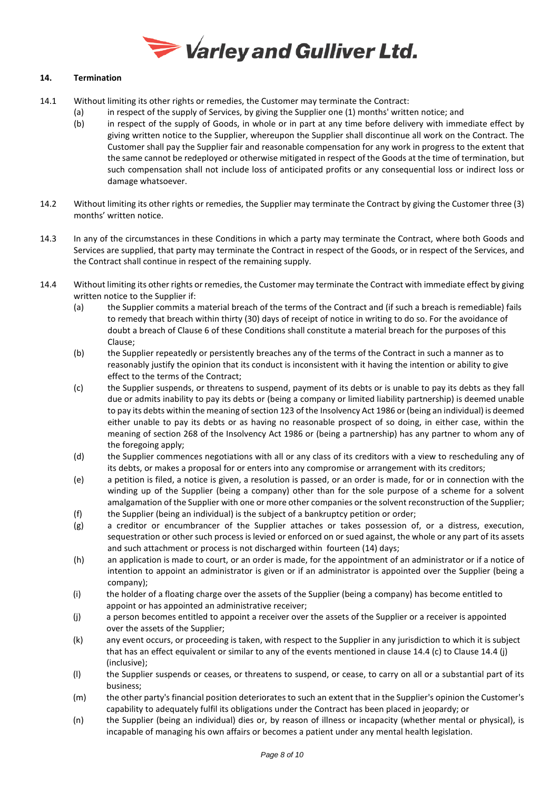

# **14. Termination**

- 14.1 Without limiting its other rights or remedies, the Customer may terminate the Contract:
	- (a) in respect of the supply of Services, by giving the Supplier one (1) months' written notice; and
	- (b) in respect of the supply of Goods, in whole or in part at any time before delivery with immediate effect by giving written notice to the Supplier, whereupon the Supplier shall discontinue all work on the Contract. The Customer shall pay the Supplier fair and reasonable compensation for any work in progress to the extent that the same cannot be redeployed or otherwise mitigated in respect of the Goods at the time of termination, but such compensation shall not include loss of anticipated profits or any consequential loss or indirect loss or damage whatsoever.
- 14.2 Without limiting its other rights or remedies, the Supplier may terminate the Contract by giving the Customer three (3) months' written notice.
- 14.3 In any of the circumstances in these Conditions in which a party may terminate the Contract, where both Goods and Services are supplied, that party may terminate the Contract in respect of the Goods, or in respect of the Services, and the Contract shall continue in respect of the remaining supply.
- 14.4 Without limiting its other rights or remedies, the Customer may terminate the Contract with immediate effect by giving written notice to the Supplier if:
	- (a) the Supplier commits a material breach of the terms of the Contract and (if such a breach is remediable) fails to remedy that breach within thirty (30) days of receipt of notice in writing to do so. For the avoidance of doubt a breach of Clause 6 of these Conditions shall constitute a material breach for the purposes of this Clause;
	- (b) the Supplier repeatedly or persistently breaches any of the terms of the Contract in such a manner as to reasonably justify the opinion that its conduct is inconsistent with it having the intention or ability to give effect to the terms of the Contract;
	- (c) the Supplier suspends, or threatens to suspend, payment of its debts or is unable to pay its debts as they fall due or admits inability to pay its debts or (being a company or limited liability partnership) is deemed unable to pay its debts within the meaning of section 123 of the Insolvency Act 1986 or (being an individual) is deemed either unable to pay its debts or as having no reasonable prospect of so doing, in either case, within the meaning of section 268 of the Insolvency Act 1986 or (being a partnership) has any partner to whom any of the foregoing apply;
	- (d) the Supplier commences negotiations with all or any class of its creditors with a view to rescheduling any of its debts, or makes a proposal for or enters into any compromise or arrangement with its creditors;
	- (e) a petition is filed, a notice is given, a resolution is passed, or an order is made, for or in connection with the winding up of the Supplier (being a company) other than for the sole purpose of a scheme for a solvent amalgamation of the Supplier with one or more other companies or the solvent reconstruction of the Supplier; (f) the Supplier (being an individual) is the subject of a bankruptcy petition or order;
	- (g) a creditor or encumbrancer of the Supplier attaches or takes possession of, or a distress, execution, sequestration or other such process is levied or enforced on or sued against, the whole or any part of its assets and such attachment or process is not discharged within fourteen (14) days;
	- (h) an application is made to court, or an order is made, for the appointment of an administrator or if a notice of intention to appoint an administrator is given or if an administrator is appointed over the Supplier (being a company);
	- (i) the holder of a floating charge over the assets of the Supplier (being a company) has become entitled to appoint or has appointed an administrative receiver;
	- (j) a person becomes entitled to appoint a receiver over the assets of the Supplier or a receiver is appointed over the assets of the Supplier;
	- (k) any event occurs, or proceeding is taken, with respect to the Supplier in any jurisdiction to which it is subject that has an effect equivalent or similar to any of the events mentioned in clause 14.4 (c) to Clause 14.4 (j) (inclusive);
	- (l) the Supplier suspends or ceases, or threatens to suspend, or cease, to carry on all or a substantial part of its business;
	- (m) the other party's financial position deteriorates to such an extent that in the Supplier's opinion the Customer's capability to adequately fulfil its obligations under the Contract has been placed in jeopardy; or
	- (n) the Supplier (being an individual) dies or, by reason of illness or incapacity (whether mental or physical), is incapable of managing his own affairs or becomes a patient under any mental health legislation.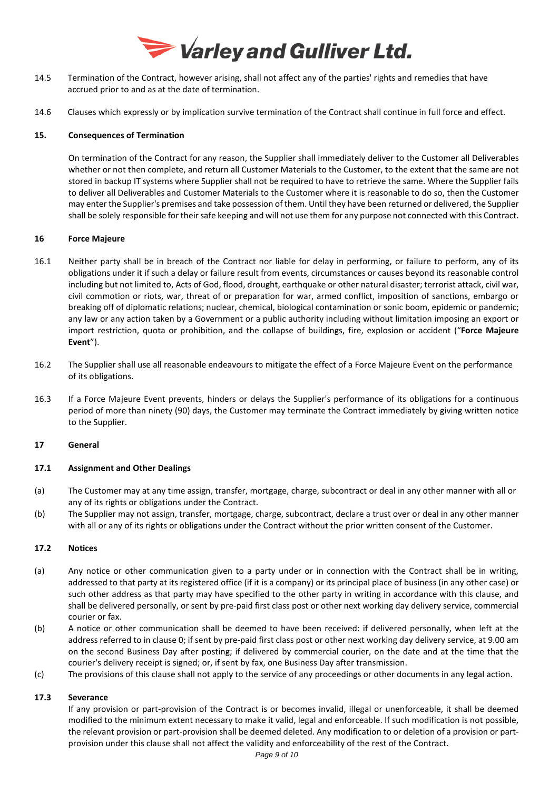

- 14.5 Termination of the Contract, however arising, shall not affect any of the parties' rights and remedies that have accrued prior to and as at the date of termination.
- 14.6 Clauses which expressly or by implication survive termination of the Contract shall continue in full force and effect.

# **15. Consequences of Termination**

On termination of the Contract for any reason, the Supplier shall immediately deliver to the Customer all Deliverables whether or not then complete, and return all Customer Materials to the Customer, to the extent that the same are not stored in backup IT systems where Supplier shall not be required to have to retrieve the same. Where the Supplier fails to deliver all Deliverables and Customer Materials to the Customer where it is reasonable to do so, then the Customer may enter the Supplier's premises and take possession of them. Until they have been returned or delivered, the Supplier shall be solely responsible for their safe keeping and will not use them for any purpose not connected with this Contract.

# **16 Force Majeure**

- 16.1 Neither party shall be in breach of the Contract nor liable for delay in performing, or failure to perform, any of its obligations under it if such a delay or failure result from events, circumstances or causes beyond its reasonable control including but not limited to, Acts of God, flood, drought, earthquake or other natural disaster; terrorist attack, civil war, civil commotion or riots, war, threat of or preparation for war, armed conflict, imposition of sanctions, embargo or breaking off of diplomatic relations; nuclear, chemical, biological contamination or sonic boom, epidemic or pandemic; any law or any action taken by a Government or a public authority including without limitation imposing an export or import restriction, quota or prohibition, and the collapse of buildings, fire, explosion or accident ("**Force Majeure Event**").
- 16.2 The Supplier shall use all reasonable endeavours to mitigate the effect of a Force Majeure Event on the performance of its obligations.
- 16.3 If a Force Majeure Event prevents, hinders or delays the Supplier's performance of its obligations for a continuous period of more than ninety (90) days, the Customer may terminate the Contract immediately by giving written notice to the Supplier.

# **17 General**

# **17.1 Assignment and Other Dealings**

- (a) The Customer may at any time assign, transfer, mortgage, charge, subcontract or deal in any other manner with all or any of its rights or obligations under the Contract.
- (b) The Supplier may not assign, transfer, mortgage, charge, subcontract, declare a trust over or deal in any other manner with all or any of its rights or obligations under the Contract without the prior written consent of the Customer.

# **17.2 Notices**

- <span id="page-8-0"></span>(a) Any notice or other communication given to a party under or in connection with the Contract shall be in writing, addressed to that party at its registered office (if it is a company) or its principal place of business (in any other case) or such other address as that party may have specified to the other party in writing in accordance with this clause, and shall be delivered personally, or sent by pre-paid first class post or other next working day delivery service, commercial courier or fax.
- (b) A notice or other communication shall be deemed to have been received: if delivered personally, when left at the address referred to in claus[e 0;](#page-8-0) if sent by pre-paid first class post or other next working day delivery service, at 9.00 am on the second Business Day after posting; if delivered by commercial courier, on the date and at the time that the courier's delivery receipt is signed; or, if sent by fax, one Business Day after transmission.
- (c) The provisions of this clause shall not apply to the service of any proceedings or other documents in any legal action.

# **17.3 Severance**

If any provision or part-provision of the Contract is or becomes invalid, illegal or unenforceable, it shall be deemed modified to the minimum extent necessary to make it valid, legal and enforceable. If such modification is not possible, the relevant provision or part-provision shall be deemed deleted. Any modification to or deletion of a provision or partprovision under this clause shall not affect the validity and enforceability of the rest of the Contract.